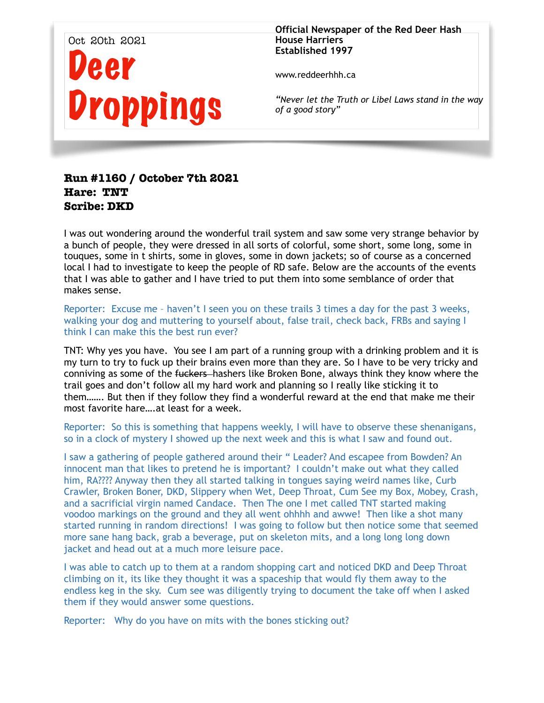

**Official Newspaper of the Red Deer Hash House Harriers Established 1997** 

www.reddeerhhh.ca

*"Never let the Truth or Libel Laws stand in the way of a good story"*

# **Run #1160 / October 7th 2021 Hare: TNT Scribe: DKD**

I was out wondering around the wonderful trail system and saw some very strange behavior by a bunch of people, they were dressed in all sorts of colorful, some short, some long, some in touques, some in t shirts, some in gloves, some in down jackets; so of course as a concerned local I had to investigate to keep the people of RD safe. Below are the accounts of the events that I was able to gather and I have tried to put them into some semblance of order that makes sense.

Reporter: Excuse me – haven't I seen you on these trails 3 times a day for the past 3 weeks, walking your dog and muttering to yourself about, false trail, check back, FRBs and saying I think I can make this the best run ever?

TNT: Why yes you have. You see I am part of a running group with a drinking problem and it is my turn to try to fuck up their brains even more than they are. So I have to be very tricky and conniving as some of the fuckers-hashers like Broken Bone, always think they know where the trail goes and don't follow all my hard work and planning so I really like sticking it to them……. But then if they follow they find a wonderful reward at the end that make me their most favorite hare….at least for a week.

Reporter: So this is something that happens weekly, I will have to observe these shenanigans, so in a clock of mystery I showed up the next week and this is what I saw and found out.

I saw a gathering of people gathered around their " Leader? And escapee from Bowden? An innocent man that likes to pretend he is important? I couldn't make out what they called him, RA???? Anyway then they all started talking in tongues saying weird names like, Curb Crawler, Broken Boner, DKD, Slippery when Wet, Deep Throat, Cum See my Box, Mobey, Crash, and a sacrificial virgin named Candace. Then The one I met called TNT started making voodoo markings on the ground and they all went ohhhh and awwe! Then like a shot many started running in random directions! I was going to follow but then notice some that seemed more sane hang back, grab a beverage, put on skeleton mits, and a long long long down jacket and head out at a much more leisure pace.

I was able to catch up to them at a random shopping cart and noticed DKD and Deep Throat climbing on it, its like they thought it was a spaceship that would fly them away to the endless keg in the sky. Cum see was diligently trying to document the take off when I asked them if they would answer some questions.

Reporter: Why do you have on mits with the bones sticking out?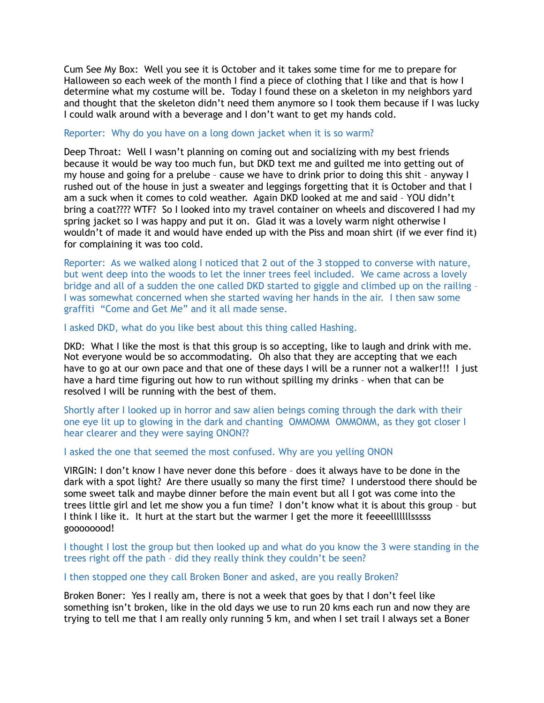Cum See My Box: Well you see it is October and it takes some time for me to prepare for Halloween so each week of the month I find a piece of clothing that I like and that is how I determine what my costume will be. Today I found these on a skeleton in my neighbors yard and thought that the skeleton didn't need them anymore so I took them because if I was lucky I could walk around with a beverage and I don't want to get my hands cold.

#### Reporter: Why do you have on a long down jacket when it is so warm?

Deep Throat: Well I wasn't planning on coming out and socializing with my best friends because it would be way too much fun, but DKD text me and guilted me into getting out of my house and going for a prelube – cause we have to drink prior to doing this shit – anyway I rushed out of the house in just a sweater and leggings forgetting that it is October and that I am a suck when it comes to cold weather. Again DKD looked at me and said – YOU didn't bring a coat???? WTF? So I looked into my travel container on wheels and discovered I had my spring jacket so I was happy and put it on. Glad it was a lovely warm night otherwise I wouldn't of made it and would have ended up with the Piss and moan shirt (if we ever find it) for complaining it was too cold.

Reporter: As we walked along I noticed that 2 out of the 3 stopped to converse with nature, but went deep into the woods to let the inner trees feel included. We came across a lovely bridge and all of a sudden the one called DKD started to giggle and climbed up on the railing – I was somewhat concerned when she started waving her hands in the air. I then saw some graffiti "Come and Get Me" and it all made sense.

## I asked DKD, what do you like best about this thing called Hashing.

DKD: What I like the most is that this group is so accepting, like to laugh and drink with me. Not everyone would be so accommodating. Oh also that they are accepting that we each have to go at our own pace and that one of these days I will be a runner not a walker!!! I just have a hard time figuring out how to run without spilling my drinks – when that can be resolved I will be running with the best of them.

Shortly after I looked up in horror and saw alien beings coming through the dark with their one eye lit up to glowing in the dark and chanting OMMOMM OMMOMM, as they got closer I hear clearer and they were saying ONON??

## I asked the one that seemed the most confused. Why are you yelling ONON

VIRGIN: I don't know I have never done this before – does it always have to be done in the dark with a spot light? Are there usually so many the first time? I understood there should be some sweet talk and maybe dinner before the main event but all I got was come into the trees little girl and let me show you a fun time? I don't know what it is about this group – but I think I like it. It hurt at the start but the warmer I get the more it feeeelllllllsssss goooooood!

I thought I lost the group but then looked up and what do you know the 3 were standing in the trees right off the path – did they really think they couldn't be seen?

## I then stopped one they call Broken Boner and asked, are you really Broken?

Broken Boner: Yes I really am, there is not a week that goes by that I don't feel like something isn't broken, like in the old days we use to run 20 kms each run and now they are trying to tell me that I am really only running 5 km, and when I set trail I always set a Boner